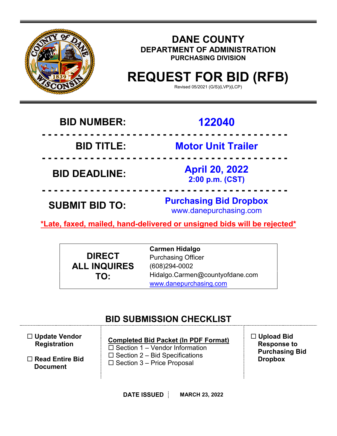

# **DANE COUNTY DEPARTMENT OF ADMINISTRATION PURCHASING DIVISION**

# **REQUEST FOR BID (RFB)**

Revised 05/2021 (G/S)(LVP)(LCP)

# **BID NUMBER: 122040**

 **- - - - - - - - - - - - - - - - - - - - - - - - - - - - - - - - - - - - - - - - -** 

**BID TITLE: Motor Unit Trailer**

**BID DEADLINE: April 20, 2022**

 **- - - - - - - - - - - - - - - - - - - - - - - - - - - - - - - - - - - - - - - - -** 

**2:00 p.m. (CST)**

 **- - - - - - - - - - - - - - - - - - - - - - - - - - - - - - - - - - - - - - - - - SUBMIT BID TO: Purchasing Bid Dropbox** www.danepurchasing.com

**\*Late, faxed, mailed, hand-delivered or unsigned bids will be rejected\*** 

**DIRECT ALL INQUIRES TO:**

**Carmen Hidalgo** Purchasing Officer (608)294-0002 Hidalgo.Carmen@countyofdane.com [www.danepurchasing.com](http://www.danepurchasing.com/)

# **BID SUBMISSION CHECKLIST**

| $\Box$ Update Vendor<br><b>Registration</b> | <b>Completed Bid Packet (In PDF Format)</b><br>$\Box$ Section 1 – Vendor Information<br>$\Box$ Section 2 – Bid Specifications<br>$\Box$ Section 3 – Price Proposal | $\Box$ Upload Bid<br><b>Response to</b><br><b>Purchasing Bid</b><br><b>Dropbox</b> |
|---------------------------------------------|--------------------------------------------------------------------------------------------------------------------------------------------------------------------|------------------------------------------------------------------------------------|
| $\Box$ Read Entire Bid<br><b>Document</b>   |                                                                                                                                                                    |                                                                                    |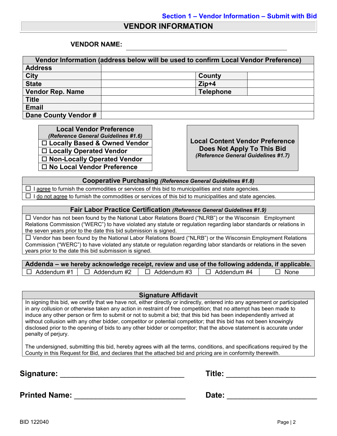## **VENDOR INFORMATION**

### **VENDOR NAME:**

| Vendor Information (address below will be used to confirm Local Vendor Preference) |                  |  |  |  |
|------------------------------------------------------------------------------------|------------------|--|--|--|
| <b>Address</b>                                                                     |                  |  |  |  |
| <b>City</b>                                                                        | County           |  |  |  |
| <b>State</b>                                                                       | $Zip+4$          |  |  |  |
| <b>Vendor Rep. Name</b>                                                            | <b>Telephone</b> |  |  |  |
| <b>Title</b>                                                                       |                  |  |  |  |
| <b>Email</b>                                                                       |                  |  |  |  |
| Dane County Vendor #                                                               |                  |  |  |  |

**Local Vendor Preference**<br>(*Reference General Guidelines #1.6*) *(Reference General Guidelines #1.6)* **Local Content Vendor Preference Locally Based & Owned Vendor Locally Operated Vendor Non-Locally Operated Vendor No Local Vendor Preference**

**Does Not Apply To This Bid** *(Reference General Guidelines #1.7)*

**Cooperative Purchasing** *(Reference General Guidelines #1.8)*

 $\Box$  I agree to furnish the commodities or services of this bid to municipalities and state agencies.  $\Box$  I do not agree to furnish the commodities or services of this bid to municipalities and state agencies.

### **Fair Labor Practice Certification** *(Reference General Guidelines #1.9)*

 Vendor has not been found by the National Labor Relations Board ("NLRB") or the Wisconsin Employment Relations Commission ("WERC") to have violated any statute or regulation regarding labor standards or relations in the seven years prior to the date this bid submission is signed.

 $\Box$  Vendor has been found by the National Labor Relations Board ("NLRB") or the Wisconsin Employment Relations Commission ("WERC") to have violated any statute or regulation regarding labor standards or relations in the seven years prior to the date this bid submission is signed.

| Addenda – we hereby acknowledge receipt, review and use of the following addenda, if applicable. |                    |                    |             |
|--------------------------------------------------------------------------------------------------|--------------------|--------------------|-------------|
| $\Box$ Addendum #1 $\Box$ Addendum #2                                                            | $\Box$ Addendum #3 | $\Box$ Addendum #4 | $\Box$ None |

### **Signature Affidavit**

In signing this bid, we certify that we have not, either directly or indirectly, entered into any agreement or participated in any collusion or otherwise taken any action in restraint of free competition; that no attempt has been made to induce any other person or firm to submit or not to submit a bid; that this bid has been independently arrived at without collusion with any other bidder, competitor or potential competitor; that this bid has not been knowingly disclosed prior to the opening of bids to any other bidder or competitor; that the above statement is accurate under penalty of perjury.

The undersigned, submitting this bid, hereby agrees with all the terms, conditions, and specifications required by the County in this Request for Bid, and declares that the attached bid and pricing are in conformity therewith.

**Signature:** \_\_\_\_\_\_\_\_\_\_\_\_\_\_\_\_\_\_\_\_\_\_\_\_\_\_\_\_\_ **Title:** \_\_\_\_\_\_\_\_\_\_\_\_\_\_\_\_\_\_\_\_\_

| Title: |
|--------|
|--------|

**Printed Name:** \_\_\_\_\_\_\_\_\_\_\_\_\_\_\_\_\_\_\_\_\_\_\_\_\_\_ **Date:** \_\_\_\_\_\_\_\_\_\_\_\_\_\_\_\_\_\_\_\_\_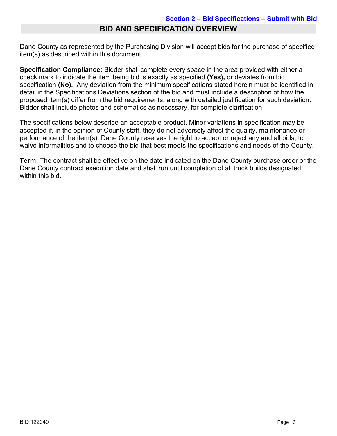Dane County as represented by the Purchasing Division will accept bids for the purchase of specified item(s) as described within this document.

**Specification Compliance:** Bidder shall complete every space in the area provided with either a check mark to indicate the item being bid is exactly as specified **(Yes),** or deviates from bid specification **(No).** Any deviation from the minimum specifications stated herein must be identified in detail in the Specifications Deviations section of the bid and must include a description of how the proposed item(s) differ from the bid requirements, along with detailed justification for such deviation. Bidder shall include photos and schematics as necessary, for complete clarification.

The specifications below describe an acceptable product. Minor variations in specification may be accepted if, in the opinion of County staff, they do not adversely affect the quality, maintenance or performance of the item(s). Dane County reserves the right to accept or reject any and all bids, to waive informalities and to choose the bid that best meets the specifications and needs of the County.

**Term:** The contract shall be effective on the date indicated on the Dane County purchase order or the Dane County contract execution date and shall run until completion of all truck builds designated within this bid.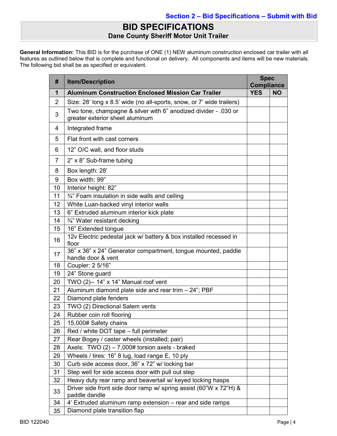# **BID SPECIFICATIONS Dane County Sheriff Motor Unit Trailer**

**General Information:** This BID is for the purchase of ONE (1) NEW aluminum construction enclosed car trailer with all features as outlined below that is complete and functional on delivery. All components and items will be new materials. The following bid shall be as specified or equivalent.

| #              | <b>Item/Description</b>                                                                            |            | <b>Spec</b><br><b>Compliance</b> |  |
|----------------|----------------------------------------------------------------------------------------------------|------------|----------------------------------|--|
| 1              | <b>Aluminum Construction Enclosed Mission Car Trailer</b>                                          | <b>YES</b> | <b>NO</b>                        |  |
| $\overline{2}$ | Size: 28' long x 8.5' wide (no all-sports, snow, or 7' wide trailers)                              |            |                                  |  |
| 3              | Two tone, champagne & silver with 6" anodized divider - .030 or<br>greater exterior sheet aluminum |            |                                  |  |
| 4              | Integrated frame                                                                                   |            |                                  |  |
| 5              | Flat front with cast corners                                                                       |            |                                  |  |
| 6              | 12" O/C wall, and floor studs                                                                      |            |                                  |  |
| $\overline{7}$ | 2" x 8" Sub-frame tubing                                                                           |            |                                  |  |
| 8              | Box length: 28'                                                                                    |            |                                  |  |
| 9              | Box width: 99"                                                                                     |            |                                  |  |
| 10             | Interior height: 82"                                                                               |            |                                  |  |
| 11             | 3/4" Foam insulation in side walls and ceiling                                                     |            |                                  |  |
| 12             | White Luan-backed vinyl interior walls                                                             |            |                                  |  |
| 13             | 6" Extruded aluminum interior kick plate                                                           |            |                                  |  |
| 14             | 3/4" Water resistant decking                                                                       |            |                                  |  |
| 15             | 16" Extended tongue                                                                                |            |                                  |  |
| 16             | 12v Electric pedestal jack w/ battery & box installed recessed in<br>floor                         |            |                                  |  |
| 17             | 36" x 36" x 24" Generator compartment, tongue mounted, paddle<br>handle door & vent                |            |                                  |  |
| 18             | Coupler: 2 5/16"                                                                                   |            |                                  |  |
| 19             | 24" Stone guard                                                                                    |            |                                  |  |
| 20             | TWO (2)-- 14" x 14" Manual roof vent                                                               |            |                                  |  |
| 21             | Aluminum diamond plate side and rear trim - 24"; PBF                                               |            |                                  |  |
| 22             | Diamond plate fenders                                                                              |            |                                  |  |
| 23             | TWO (2) Directional Salem vents                                                                    |            |                                  |  |
| 24             | Rubber coin roll flooring                                                                          |            |                                  |  |
| 25             | 15,000# Safety chains                                                                              |            |                                  |  |
| 26             | Red / white DOT tape - full perimeter                                                              |            |                                  |  |
| 27             | Rear Bogey / caster wheels (installed; pair)                                                       |            |                                  |  |
| 28             | Axels: TWO $(2) - 7,000#$ torsion axels - braked                                                   |            |                                  |  |
| 29             | Wheels / tires: 16" 8 lug, load range E, 10 ply                                                    |            |                                  |  |
| 30             | Curb side access door, 36" x 72" w/ locking bar                                                    |            |                                  |  |
| 31             | Step well for side access door with pull out step                                                  |            |                                  |  |
| 32             | Heavy duty rear ramp and beavertail w/ keyed locking hasps                                         |            |                                  |  |
| 33             | Driver side front side door ramp w/ spring assist (60"W x 72"H) &<br>paddle dandle                 |            |                                  |  |
| 34             | 4' Extruded aluminum ramp extension - rear and side ramps                                          |            |                                  |  |
| 35             | Diamond plate transition flap                                                                      |            |                                  |  |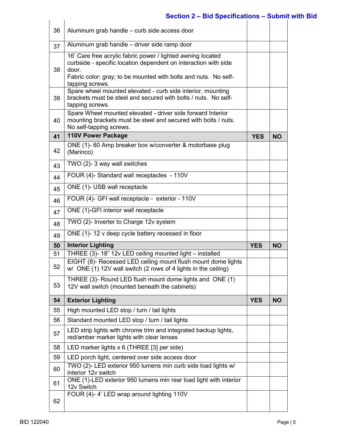# **Section 2 – Bid Specifications – Submit with Bid**

| 36 | Aluminum grab handle – curb side access door                                                                                                                                                                                  |            |           |
|----|-------------------------------------------------------------------------------------------------------------------------------------------------------------------------------------------------------------------------------|------------|-----------|
| 37 | Aluminum grab handle - driver side ramp door                                                                                                                                                                                  |            |           |
| 38 | 16' Care free acrylic fabric power / lighted awning located<br>curbside - specific location dependent on interaction with side<br>door.<br>Fabric color: gray; to be mounted with bolts and nuts. No self-<br>tapping screws. |            |           |
| 39 | Spare wheel mounted elevated - curb side interior, mounting<br>brackets must be steel and secured with bolts / nuts. No self-<br>tapping screws.                                                                              |            |           |
| 40 | Spare Wheel mounted elevated - driver side forward Interior<br>mounting brackets must be steel and secured with bolts / nuts.<br>No self-tapping screws.                                                                      |            |           |
| 41 | 110V Power Package                                                                                                                                                                                                            | <b>YES</b> | <b>NO</b> |
| 42 | ONE (1)- 60 Amp breaker box w/converter & motorbase plug<br>(Marinco)                                                                                                                                                         |            |           |
| 43 | TWO (2)-3 way wall switches                                                                                                                                                                                                   |            |           |
| 44 | FOUR (4)- Standard wall receptacles - 110V                                                                                                                                                                                    |            |           |
| 45 | ONE (1)- USB wall receptacle                                                                                                                                                                                                  |            |           |
| 46 | FOUR (4)- GFI wall receptacle - exterior - 110V                                                                                                                                                                               |            |           |
| 47 | ONE (1)-GFI interior wall receptacle                                                                                                                                                                                          |            |           |
| 48 | TWO (2)- Inverter to Charge 12v system                                                                                                                                                                                        |            |           |
| 49 | ONE (1)-12 v deep cycle battery recessed in floor                                                                                                                                                                             |            |           |
| 50 | <b>Interior Lighting</b>                                                                                                                                                                                                      | <b>YES</b> | <b>NO</b> |
| 51 | THREE (3)- 18" 12v LED ceiling mounted light - installed                                                                                                                                                                      |            |           |
| 52 | EIGHT (8)- Recessed LED ceiling mount flush mount dome lights<br>w/ ONE (1) 12V wall switch (2 rows of 4 lights in the ceiling)                                                                                               |            |           |
| 53 | THREE (3)- Round LED flush mount dome lights and ONE (1)<br>12V wall switch (mounted beneath the cabinets)                                                                                                                    |            |           |
|    |                                                                                                                                                                                                                               |            |           |
| 54 | <b>Exterior Lighting</b>                                                                                                                                                                                                      | <b>YES</b> | <b>NO</b> |
| 55 | High mounted LED stop / turn / tail lights                                                                                                                                                                                    |            |           |
| 56 | Standard mounted LED stop / turn / tail lights                                                                                                                                                                                |            |           |
| 57 | LED strip lights with chrome trim and integrated backup lights,<br>red/amber marker lights with clear lenses                                                                                                                  |            |           |
| 58 | LED marker lights x 6 (THREE [3] per side)                                                                                                                                                                                    |            |           |
| 59 | LED porch light, centered over side access door                                                                                                                                                                               |            |           |
| 60 | TWO (2)- LED exterior 950 lumens min curb side load lights w/<br>interior 12v switch                                                                                                                                          |            |           |
| 61 | ONE (1)-LED exterior 950 lumens min rear load light with interior<br>12v Switch<br>FOUR (4)-4' LED wrap around lighting 110V                                                                                                  |            |           |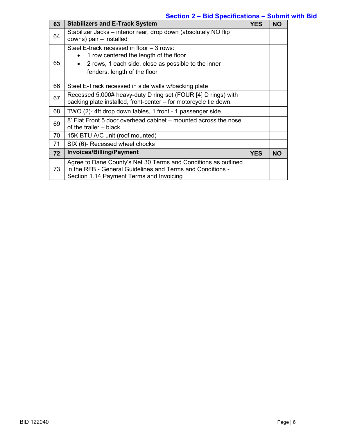## **Section 2 – Bid Specifications – Submit with Bid**

| 63 | <b>Stabilizers and E-Track System</b>                                                                                                                                                   | <b>YES</b> | <b>NO</b> |
|----|-----------------------------------------------------------------------------------------------------------------------------------------------------------------------------------------|------------|-----------|
| 64 | Stabilizer Jacks – interior rear, drop down (absolutely NO flip<br>downs) pair - installed                                                                                              |            |           |
| 65 | Steel E-track recessed in floor - 3 rows:<br>1 row centered the length of the floor<br>2 rows, 1 each side, close as possible to the inner<br>$\bullet$<br>fenders, length of the floor |            |           |
| 66 | Steel E-Track recessed in side walls w/backing plate                                                                                                                                    |            |           |
| 67 | Recessed 5,000# heavy-duty D ring set (FOUR [4] D rings) with<br>backing plate installed, front-center – for motorcycle tie down.                                                       |            |           |
| 68 | TWO (2)- 4ft drop down tables, 1 front - 1 passenger side                                                                                                                               |            |           |
| 69 | 8' Flat Front 5 door overhead cabinet - mounted across the nose<br>of the trailer - black                                                                                               |            |           |
| 70 | 15K BTU A/C unit (roof mounted)                                                                                                                                                         |            |           |
| 71 | SIX (6)- Recessed wheel chocks                                                                                                                                                          |            |           |
| 72 | <b>Invoices/Billing/Payment</b>                                                                                                                                                         | <b>YES</b> | <b>NO</b> |
| 73 | Agree to Dane County's Net 30 Terms and Conditions as outlined<br>in the RFB - General Guidelines and Terms and Conditions -<br>Section 1.14 Payment Terms and Invoicing                |            |           |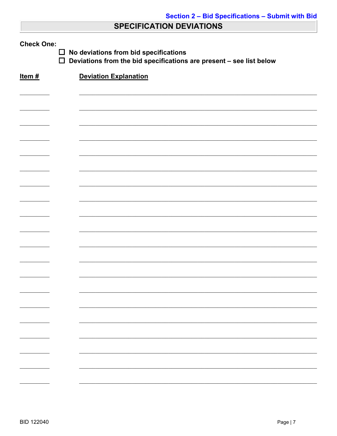# **SPECIFICATION DEVIATIONS**

| <b>Check One:</b><br>No deviations from bid specifications<br>$\Box$<br>$\Box$<br>Deviations from the bid specifications are present - see list below |                              |  |  |  |
|-------------------------------------------------------------------------------------------------------------------------------------------------------|------------------------------|--|--|--|
| Item#                                                                                                                                                 | <b>Deviation Explanation</b> |  |  |  |
|                                                                                                                                                       |                              |  |  |  |
|                                                                                                                                                       |                              |  |  |  |
|                                                                                                                                                       |                              |  |  |  |
|                                                                                                                                                       |                              |  |  |  |
|                                                                                                                                                       |                              |  |  |  |
|                                                                                                                                                       |                              |  |  |  |
|                                                                                                                                                       |                              |  |  |  |
|                                                                                                                                                       |                              |  |  |  |
|                                                                                                                                                       |                              |  |  |  |
|                                                                                                                                                       |                              |  |  |  |
|                                                                                                                                                       |                              |  |  |  |
|                                                                                                                                                       |                              |  |  |  |
|                                                                                                                                                       |                              |  |  |  |
|                                                                                                                                                       |                              |  |  |  |